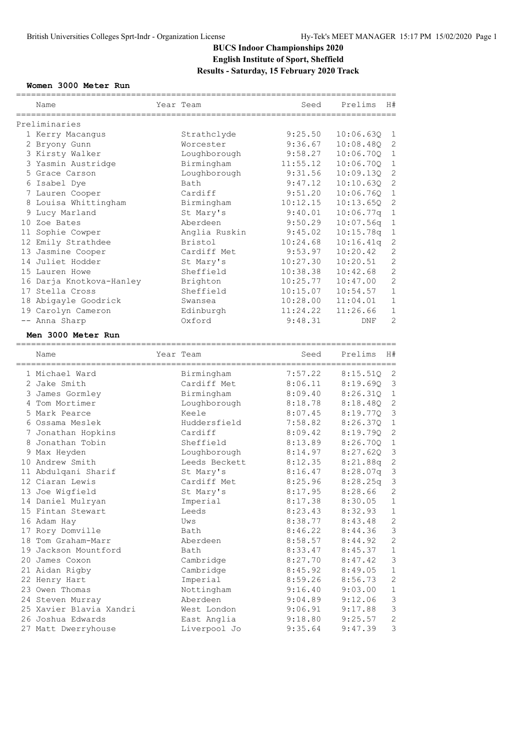## **BUCS Indoor Championships 2020 English Institute of Sport, Sheffield Results - Saturday, 15 February 2020 Track**

## **Women 3000 Meter Run**

|  | Name                                             |  | Year Team                | Seed                       | Prelims<br>H#                        |  |  |
|--|--------------------------------------------------|--|--------------------------|----------------------------|--------------------------------------|--|--|
|  |                                                  |  |                          |                            |                                      |  |  |
|  | Preliminaries                                    |  |                          |                            |                                      |  |  |
|  | 1 Kerry Macangus                                 |  | Strathclyde              | 9:25.50                    | 10:06.63Q<br>1                       |  |  |
|  | 2 Bryony Gunn                                    |  | Worcester                | 9:36.67                    | 2<br>10:08.480                       |  |  |
|  | 3 Kirsty Walker                                  |  | Loughborough             | 9:58.27                    | 10:06.700<br>$\mathbf 1$             |  |  |
|  | 3 Yasmin Austridge                               |  | Birmingham               | 11:55.12                   | 10:06.700<br>$\mathbf 1$             |  |  |
|  | 5 Grace Carson                                   |  | Loughborough             | 9:31.56                    | 2<br>10:09.13Q                       |  |  |
|  | 6 Isabel Dye                                     |  | Bath                     | 9:47.12                    | $\mathbf{2}$<br>10:10.63Q            |  |  |
|  | 7 Lauren Cooper                                  |  | Cardiff                  | 9:51.20                    | $\mathbf{1}$<br>10:06.76Q            |  |  |
|  | 8 Louisa Whittingham                             |  | Birmingham               | 10:12.15                   | $\mathbf{2}$<br>10:13.65Q            |  |  |
|  | 9 Lucy Marland                                   |  | St Mary's                | 9:40.01                    | 10:06.77q<br>$\mathbf{1}$            |  |  |
|  | 10 Zoe Bates                                     |  | Aberdeen                 | 9:50.29                    | 10:07.56q<br>$\mathbf{1}$            |  |  |
|  | 11 Sophie Cowper                                 |  | Anglia Ruskin            | 9:45.02                    | 1<br>10:15.78q                       |  |  |
|  | 12 Emily Strathdee                               |  | Bristol                  | 10:24.68                   | $\mathbf{2}$<br>10:16.41q            |  |  |
|  | 13 Jasmine Cooper                                |  | Cardiff Met              | 9:53.97                    | $\mathbf{2}$<br>10:20.42             |  |  |
|  | 14 Juliet Hodder                                 |  | St Mary's                | 10:27.30                   | $\mathbf{2}$<br>10:20.51             |  |  |
|  | 15 Lauren Howe                                   |  | Sheffield                | 10:38.38                   | $\overline{2}$<br>10:42.68           |  |  |
|  | 16 Darja Knotkova-Hanley                         |  | Brighton                 | 10:25.77                   | $\mathbf{2}$<br>10:47.00             |  |  |
|  | 17 Stella Cross                                  |  | Sheffield                | 10:15.07                   | 1<br>10:54.57                        |  |  |
|  | 18 Abigayle Goodrick                             |  | Swansea                  | 10:28.00                   | $\mathbf 1$<br>11:04.01              |  |  |
|  | 19 Carolyn Cameron                               |  | Edinburgh                | 11:24.22                   | $\mathbf 1$<br>11:26.66              |  |  |
|  | -- Anna Sharp                                    |  | Oxford                   | 9:48.31                    | $\overline{2}$<br>DNF                |  |  |
|  |                                                  |  |                          |                            |                                      |  |  |
|  | Men 3000 Meter Run<br>-------------------------- |  |                          | ========================== |                                      |  |  |
|  | Name                                             |  | Year Team                | Seed                       | Prelims<br>H#                        |  |  |
|  |                                                  |  |                          |                            |                                      |  |  |
|  | 1 Michael Ward                                   |  | Birmingham               | 7:57.22                    | 2<br>8:15.51Q                        |  |  |
|  | 2 Jake Smith                                     |  | Cardiff Met              | 8:06.11                    | 3<br>8:19.69Q                        |  |  |
|  | 3 James Gormley                                  |  | Birmingham               | 8:09.40                    | 8:26.31Q<br>$\mathbf 1$              |  |  |
|  | 4 Tom Mortimer                                   |  | Loughborough             | 8:18.78                    | 8:18.48Q<br>2                        |  |  |
|  | 5 Mark Pearce                                    |  | Keele                    | 8:07.45                    | $\mathsf 3$<br>8:19.77Q              |  |  |
|  | 6 Ossama Meslek                                  |  | Huddersfield             | 7:58.82                    | $1\,$<br>8:26.37Q                    |  |  |
|  | 7 Jonathan Hopkins                               |  | Cardiff                  | 8:09.42                    | 2<br>8:19.79Q                        |  |  |
|  | 8 Jonathan Tobin                                 |  | Sheffield                | 8:13.89                    | $\mathbf{1}$<br>8:26.70Q             |  |  |
|  | 9 Max Heyden                                     |  | Loughborough             | 8:14.97                    | 3<br>8:27.620                        |  |  |
|  |                                                  |  |                          | 8:12.35                    | 2                                    |  |  |
|  | 10 Andrew Smith                                  |  | Leeds Beckett            |                            | 8:21.88q<br>$\mathsf 3$<br>8:28.07q  |  |  |
|  | 11 Abdulqani Sharif<br>12 Ciaran Lewis           |  | St Mary's<br>Cardiff Met | 8:16.47<br>8:25.96         | 3<br>8:28.25q                        |  |  |
|  |                                                  |  |                          |                            |                                      |  |  |
|  | 13 Joe Wigfield                                  |  | St Mary's                | 8:17.95                    | $\mathbf{2}$<br>8:28.66              |  |  |
|  | 14 Daniel Mulryan                                |  | Imperial                 | 8:17.38                    | 8:30.05<br>$\mathbf 1$               |  |  |
|  | 15 Fintan Stewart                                |  | Leeds                    | 8:23.43                    | 8:32.93<br>$\mathbf{1}$              |  |  |
|  | 16 Adam Hay                                      |  | Uws                      | 8:38.77                    | 8:43.48<br>2                         |  |  |
|  | 17 Rory Domville                                 |  | Bath                     | 8:46.22                    | $\ensuremath{\mathsf{3}}$<br>8:44.36 |  |  |
|  | 18 Tom Graham-Marr                               |  | Aberdeen                 | 8:58.57                    | $\mathbf{2}$<br>8:44.92              |  |  |
|  | 19 Jackson Mountford                             |  | Bath                     | 8:33.47                    | $\mathbf{1}$<br>8:45.37              |  |  |
|  | 20 James Coxon                                   |  | Cambridge                | 8:27.70                    | $\mathsf 3$<br>8:47.42               |  |  |
|  | 21 Aidan Rigby                                   |  | Cambridge                | 8:45.92                    | 1<br>8:49.05                         |  |  |
|  | 22 Henry Hart                                    |  | Imperial                 | 8:59.26                    | 2<br>8:56.73                         |  |  |
|  | 23 Owen Thomas                                   |  | Nottingham               | 9:16.40                    | $\mathbf 1$<br>9:03.00               |  |  |
|  | 24 Steven Murray                                 |  | Aberdeen                 | 9:04.89                    | $\mathsf 3$<br>9:12.06               |  |  |
|  | 25 Xavier Blavia Xandri                          |  | West London              | 9:06.91                    | $\ensuremath{\mathsf{3}}$<br>9:17.88 |  |  |
|  | 26 Joshua Edwards                                |  | East Anglia              | 9:18.80                    | $\overline{c}$<br>9:25.57            |  |  |
|  | 27 Matt Dwerryhouse                              |  | Liverpool Jo             | 9:35.64                    | 9:47.39<br>3                         |  |  |